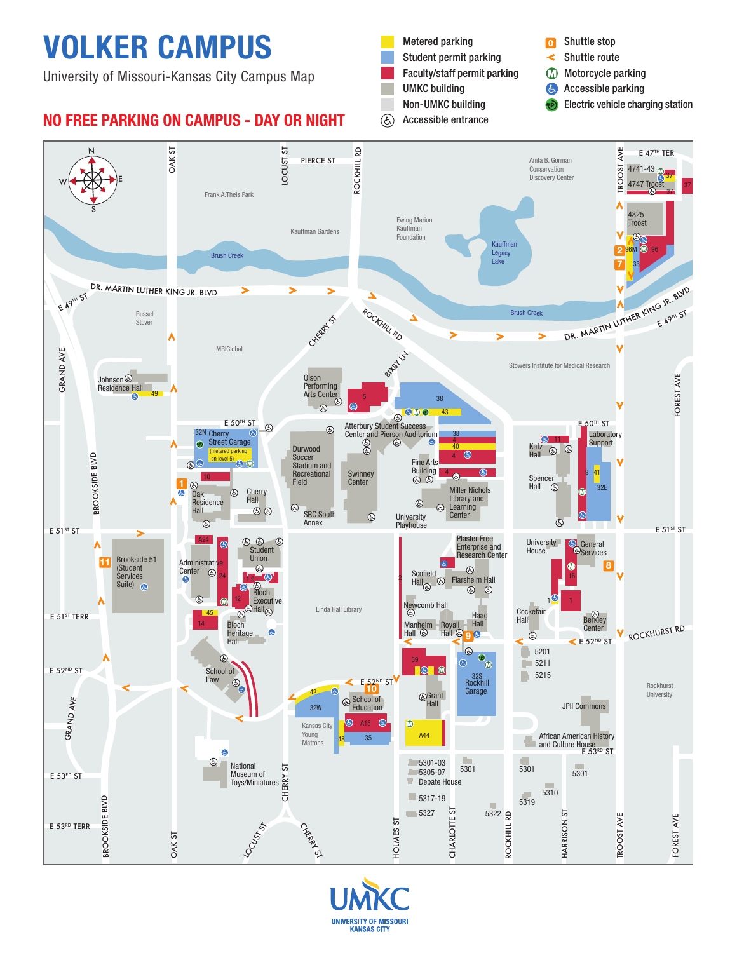# VOLKER CAMPUS

University of Missouri-Kansas City Campus Map

### NO FREE PARKING ON CAMPUS - DAY OR NIGHT